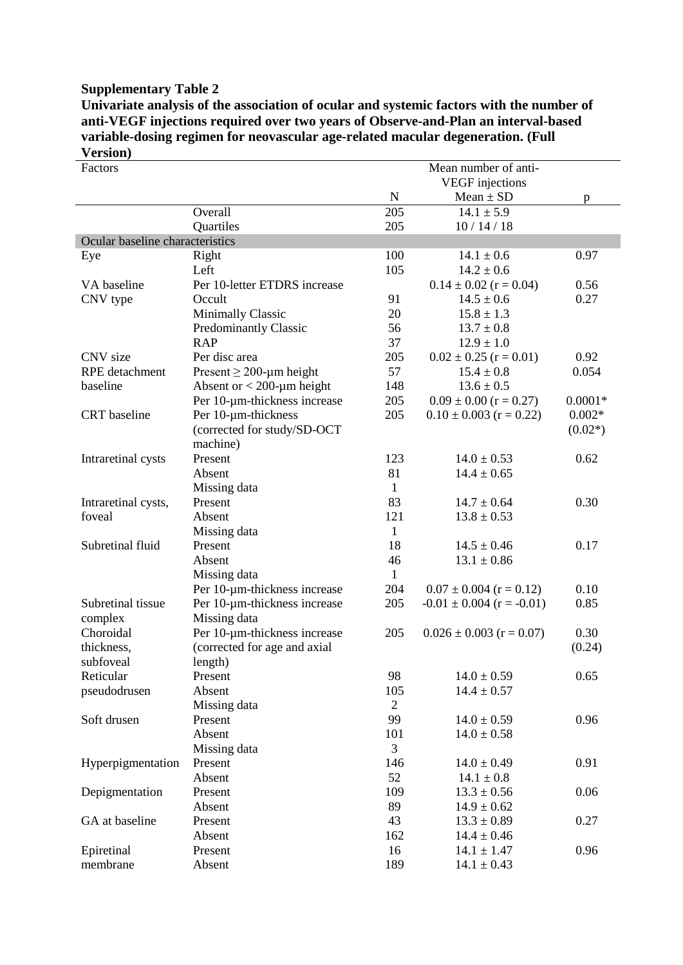## **Supplementary Table 2**

**Univariate analysis of the association of ocular and systemic factors with the number of anti-VEGF injections required over two years of Observe-and-Plan an interval-based variable-dosing regimen for neovascular age-related macular degeneration. (Full Version)**

| Factors                         |                              | Mean number of anti- |                                  |           |  |
|---------------------------------|------------------------------|----------------------|----------------------------------|-----------|--|
|                                 |                              |                      | <b>VEGF</b> injections           |           |  |
|                                 |                              | ${\bf N}$            | $Mean \pm SD$                    | p         |  |
|                                 | Overall                      | 205                  | $14.1 \pm 5.9$                   |           |  |
|                                 | Quartiles                    | 205                  | 10/14/18                         |           |  |
| Ocular baseline characteristics |                              |                      |                                  |           |  |
| Eye                             | Right                        | 100                  | $14.1 \pm 0.6$                   | 0.97      |  |
|                                 | Left                         | 105                  | $14.2 \pm 0.6$                   |           |  |
| VA baseline                     | Per 10-letter ETDRS increase |                      | $0.14 \pm 0.02$ (r = 0.04)       | 0.56      |  |
| CNV type                        | Occult                       | 91                   | $14.5 \pm 0.6$                   | 0.27      |  |
|                                 | <b>Minimally Classic</b>     | 20                   | $15.8 \pm 1.3$                   |           |  |
|                                 | <b>Predominantly Classic</b> | 56                   | $13.7 \pm 0.8$                   |           |  |
|                                 | <b>RAP</b>                   | 37                   | $12.9 \pm 1.0$                   |           |  |
| CNV size                        | Per disc area                | 205                  | $0.02 \pm 0.25$ (r = 0.01)       | 0.92      |  |
| <b>RPE</b> detachment           | Present $\geq$ 200-µm height | 57                   | $15.4 \pm 0.8$                   | 0.054     |  |
| baseline                        | Absent or $<$ 200-µm height  | 148                  | $13.6 \pm 0.5$                   |           |  |
|                                 | Per 10-um-thickness increase | 205                  | $0.09 \pm 0.00$ (r = 0.27)       | $0.0001*$ |  |
| <b>CRT</b> baseline             | Per 10-µm-thickness          | 205                  | $0.10 \pm 0.003$ (r = 0.22)      | $0.002*$  |  |
|                                 | (corrected for study/SD-OCT  |                      |                                  | $(0.02*)$ |  |
|                                 | machine)                     |                      |                                  |           |  |
| Intraretinal cysts              | Present                      | 123                  | $14.0 \pm 0.53$                  | 0.62      |  |
|                                 | Absent                       | 81                   | $14.4 \pm 0.65$                  |           |  |
|                                 | Missing data                 | $\mathbf{1}$         |                                  |           |  |
| Intraretinal cysts,             | Present                      | 83                   | $14.7 \pm 0.64$                  | 0.30      |  |
| foveal                          | Absent                       | 121                  | $13.8 \pm 0.53$                  |           |  |
|                                 | Missing data                 | 1                    |                                  |           |  |
| Subretinal fluid                | Present                      | 18                   | $14.5 \pm 0.46$                  | 0.17      |  |
|                                 | Absent                       | 46                   | $13.1 \pm 0.86$                  |           |  |
|                                 | Missing data                 | 1                    |                                  |           |  |
|                                 | Per 10-um-thickness increase | 204                  | $0.07 \pm 0.004$ (r = 0.12)      | 0.10      |  |
| Subretinal tissue               | Per 10-µm-thickness increase | 205                  | $-0.01 \pm 0.004$ (r = $-0.01$ ) | 0.85      |  |
| complex                         | Missing data                 |                      |                                  |           |  |
| Choroidal                       | Per 10-µm-thickness increase | 205                  | $0.026 \pm 0.003$ (r = 0.07)     | 0.30      |  |
| thickness,                      | (corrected for age and axial |                      |                                  | (0.24)    |  |
| subfoveal                       | length)                      |                      |                                  |           |  |
| Reticular                       | Present                      | 98                   | $14.0 \pm 0.59$                  | 0.65      |  |
| pseudodrusen                    | Absent                       | 105                  | $14.4 \pm 0.57$                  |           |  |
|                                 | Missing data                 | $\overline{2}$       |                                  |           |  |
| Soft drusen                     | Present                      | 99                   | $14.0 \pm 0.59$                  | 0.96      |  |
|                                 | Absent                       | 101                  | $14.0 \pm 0.58$                  |           |  |
|                                 | Missing data                 | 3                    |                                  |           |  |
| Hyperpigmentation               | Present                      | 146                  | $14.0 \pm 0.49$                  | 0.91      |  |
|                                 | Absent                       | 52                   | $14.1 \pm 0.8$                   |           |  |
| Depigmentation                  | Present                      | 109                  | $13.3 \pm 0.56$                  | 0.06      |  |
|                                 | Absent                       | 89                   | $14.9 \pm 0.62$                  |           |  |
| GA at baseline                  | Present                      | 43                   | $13.3 \pm 0.89$                  | 0.27      |  |
|                                 | Absent                       | 162                  | $14.4 \pm 0.46$                  |           |  |
| Epiretinal                      | Present                      | 16                   | $14.1 \pm 1.47$                  | 0.96      |  |
| membrane                        | Absent                       | 189                  | $14.1 \pm 0.43$                  |           |  |